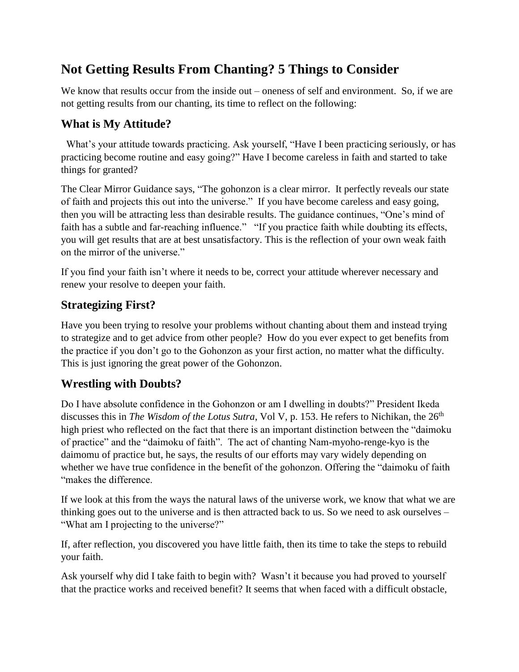# **Not Getting Results From Chanting? 5 Things to Consider**

We know that results occur from the inside out – oneness of self and environment. So, if we are not getting results from our chanting, its time to reflect on the following:

### **What is My Attitude?**

 What's your attitude towards practicing. Ask yourself, "Have I been practicing seriously, or has practicing become routine and easy going?" Have I become careless in faith and started to take things for granted?

The Clear Mirror Guidance says, "The gohonzon is a clear mirror. It perfectly reveals our state of faith and projects this out into the universe." If you have become careless and easy going, then you will be attracting less than desirable results. The guidance continues, "One's mind of faith has a subtle and far-reaching influence." "If you practice faith while doubting its effects, you will get results that are at best unsatisfactory. This is the reflection of your own weak faith on the mirror of the universe."

If you find your faith isn't where it needs to be, correct your attitude wherever necessary and renew your resolve to deepen your faith.

### **Strategizing First?**

Have you been trying to resolve your problems without chanting about them and instead trying to strategize and to get advice from other people? How do you ever expect to get benefits from the practice if you don't go to the Gohonzon as your first action, no matter what the difficulty. This is just ignoring the great power of the Gohonzon.

#### **Wrestling with Doubts?**

Do I have absolute confidence in the Gohonzon or am I dwelling in doubts?" President Ikeda discusses this in *The Wisdom of the Lotus Sutra*, Vol V, p. 153. He refers to Nichikan, the 26<sup>th</sup> high priest who reflected on the fact that there is an important distinction between the "daimoku of practice" and the "daimoku of faith". The act of chanting Nam-myoho-renge-kyo is the daimomu of practice but, he says, the results of our efforts may vary widely depending on whether we have true confidence in the benefit of the gohonzon. Offering the "daimoku of faith "makes the difference.

If we look at this from the ways the natural laws of the universe work, we know that what we are thinking goes out to the universe and is then attracted back to us. So we need to ask ourselves – "What am I projecting to the universe?"

If, after reflection, you discovered you have little faith, then its time to take the steps to rebuild your faith.

Ask yourself why did I take faith to begin with? Wasn't it because you had proved to yourself that the practice works and received benefit? It seems that when faced with a difficult obstacle,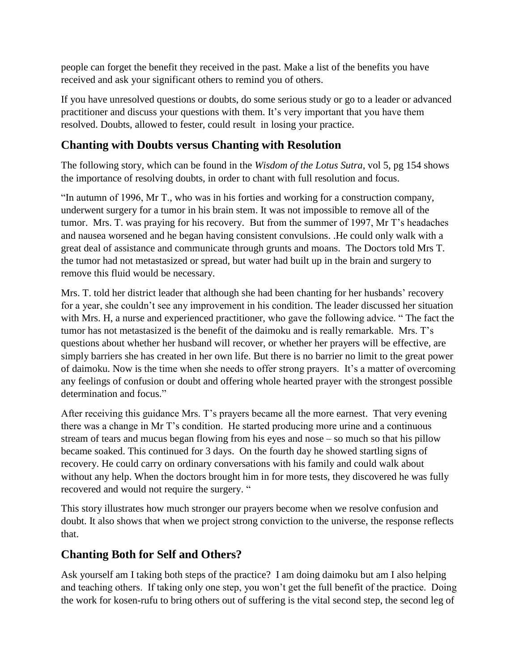people can forget the benefit they received in the past. Make a list of the benefits you have received and ask your significant others to remind you of others.

If you have unresolved questions or doubts, do some serious study or go to a leader or advanced practitioner and discuss your questions with them. It's very important that you have them resolved. Doubts, allowed to fester, could result in losing your practice.

### **Chanting with Doubts versus Chanting with Resolution**

The following story, which can be found in the *Wisdom of the Lotus Sutra*, vol 5, pg 154 shows the importance of resolving doubts, in order to chant with full resolution and focus.

"In autumn of 1996, Mr T., who was in his forties and working for a construction company, underwent surgery for a tumor in his brain stem. It was not impossible to remove all of the tumor. Mrs. T. was praying for his recovery. But from the summer of 1997, Mr T's headaches and nausea worsened and he began having consistent convulsions. .He could only walk with a great deal of assistance and communicate through grunts and moans. The Doctors told Mrs T. the tumor had not metastasized or spread, but water had built up in the brain and surgery to remove this fluid would be necessary.

Mrs. T. told her district leader that although she had been chanting for her husbands' recovery for a year, she couldn't see any improvement in his condition. The leader discussed her situation with Mrs. H, a nurse and experienced practitioner, who gave the following advice. " The fact the tumor has not metastasized is the benefit of the daimoku and is really remarkable. Mrs. T's questions about whether her husband will recover, or whether her prayers will be effective, are simply barriers she has created in her own life. But there is no barrier no limit to the great power of daimoku. Now is the time when she needs to offer strong prayers. It's a matter of overcoming any feelings of confusion or doubt and offering whole hearted prayer with the strongest possible determination and focus."

After receiving this guidance Mrs. T's prayers became all the more earnest. That very evening there was a change in Mr T's condition. He started producing more urine and a continuous stream of tears and mucus began flowing from his eyes and nose – so much so that his pillow became soaked. This continued for 3 days. On the fourth day he showed startling signs of recovery. He could carry on ordinary conversations with his family and could walk about without any help. When the doctors brought him in for more tests, they discovered he was fully recovered and would not require the surgery. "

This story illustrates how much stronger our prayers become when we resolve confusion and doubt. It also shows that when we project strong conviction to the universe, the response reflects that.

## **Chanting Both for Self and Others?**

Ask yourself am I taking both steps of the practice? I am doing daimoku but am I also helping and teaching others. If taking only one step, you won't get the full benefit of the practice. Doing the work for kosen-rufu to bring others out of suffering is the vital second step, the second leg of